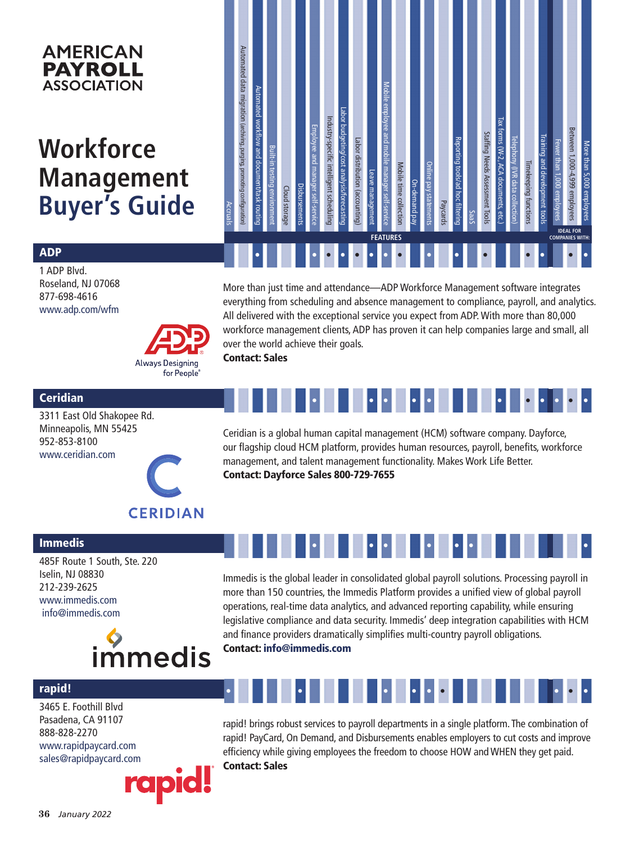### **AMERICAN PAYROLL ASSOCIATION**

# **Workforce Management Buyer's Guide**

| <b>Accruals</b> | Automated data migration (archiving, purging, promoting configuration) | Automated workflow and document/task routing | Built-in testing environment | Cloud storage | Disbursements | Employee and manager self-service | Industry-specific intelligent scheduling | Labor budgeting/cost analysis/torecasting | Labor distribution (accounting) | Leave management | Mobile employee and mobile manager self-service | Mobile time collection | On-demand pay | Online pay statements | <b>Paycards</b> | Reporting tools/ad hoc filtering | <b>SaaS</b> | Staffing Needs Assessment Tools | Tax forms (W-2, ACA documents, etc.) | Telephony (IVR data collection) | Timekeeping functions | Training and development tools | Fewer than 1,000 employees | Between 1,000-4,999 employees<br><b>IDEAL FOR</b> | More than 5,000 employees |
|-----------------|------------------------------------------------------------------------|----------------------------------------------|------------------------------|---------------|---------------|-----------------------------------|------------------------------------------|-------------------------------------------|---------------------------------|------------------|-------------------------------------------------|------------------------|---------------|-----------------------|-----------------|----------------------------------|-------------|---------------------------------|--------------------------------------|---------------------------------|-----------------------|--------------------------------|----------------------------|---------------------------------------------------|---------------------------|
|                 | <b>FEATURES</b>                                                        |                                              |                              |               |               |                                   |                                          |                                           |                                 |                  |                                                 |                        |               |                       |                 | <b>COMPANIES WITH:</b>           |             |                                 |                                      |                                 |                       |                                |                            |                                                   |                           |
|                 |                                                                        |                                              |                              |               |               |                                   |                                          |                                           |                                 |                  |                                                 |                        |               |                       |                 |                                  |             |                                 |                                      |                                 |                       |                                |                            |                                                   |                           |

### ADP

1 ADP Blvd. Roseland, NJ 07068 877-698-4616 www.adp.com/wfm

More than just time and attendance—ADP Workforce Management software integrates everything from scheduling and absence management to compliance, payroll, and analytics. All delivered with the exceptional service you expect from ADP. With more than 80,000 workforce management clients, ADP has proven it can help companies large and small, all over the world achieve their goals. Contact: Sales

#### **Ceridian**

Immedis

3311 East Old Shakopee Rd. Minneapolis, MN 55425 952-853-8100 www.ceridian.com



**Always Designing** for People®

> Ceridian is a global human capital management (HCM) software company. Dayforce, our flagship cloud HCM platform, provides human resources, payroll, benefits, workforce management, and talent management functionality. Makes Work Life Better. Contact: Dayforce Sales 800-729-7655

• • • • • • • • • •

•

## **CERIDIAN**

• • • • • • •

485F Route 1 South, Ste. 220 Iselin, NJ 08830 212-239-2625 www.immedis.com info@immedis.com



Immedis is the global leader in consolidated global payroll solutions. Processing payroll in more than 150 countries, the Immedis Platform provides a unified view of global payroll operations, real-time data analytics, and advanced reporting capability, while ensuring legislative compliance and data security. Immedis' deep integration capabilities with HCM and finance providers dramatically simplifies multi-country payroll obligations.

Contact: info@immedis.com

#### rapid!

3465 E. Foothill Blvd Pasadena, CA 91107 888-828-2270 www.rapidpaycard.com sales@rapidpaycard.com



# • • • • • • • • •

rapid! brings robust services to payroll departments in a single platform. The combination of rapid! PayCard, On Demand, and Disbursements enables employers to cut costs and improve efficiency while giving employees the freedom to choose HOW and WHEN they get paid. Contact: Sales